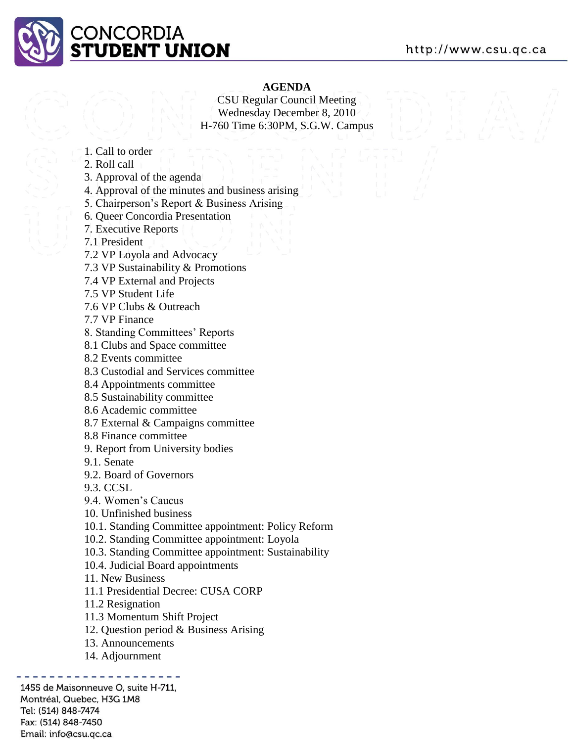

#### **AGENDA**

CSU Regular Council Meeting Wednesday December 8, 2010 H-760 Time 6:30PM, S.G.W. Campus

- 1. Call to order
- 2. Roll call
- 3. Approval of the agenda
- 4. Approval of the minutes and business arising
- 5. Chairperson's Report & Business Arising
- 6. Queer Concordia Presentation
- 7. Executive Reports
- 7.1 President
- 7.2 VP Loyola and Advocacy
- 7.3 VP Sustainability & Promotions
- 7.4 VP External and Projects
- 7.5 VP Student Life
- 7.6 VP Clubs & Outreach
- 7.7 VP Finance
- 8. Standing Committees' Reports
- 8.1 Clubs and Space committee
- 8.2 Events committee
- 8.3 Custodial and Services committee
- 8.4 Appointments committee
- 8.5 Sustainability committee
- 8.6 Academic committee
- 8.7 External & Campaigns committee
- 8.8 Finance committee
- 9. Report from University bodies
- 9.1. Senate
- 9.2. Board of Governors
- 9.3. CCSL
- 9.4. Women's Caucus
- 10. Unfinished business
- 10.1. Standing Committee appointment: Policy Reform
- 10.2. Standing Committee appointment: Loyola
- 10.3. Standing Committee appointment: Sustainability
- 10.4. Judicial Board appointments
- 11. New Business
- 11.1 Presidential Decree: CUSA CORP
- 11.2 Resignation
- 11.3 Momentum Shift Project
- 12. Question period & Business Arising
- 13. Announcements
- 14. Adjournment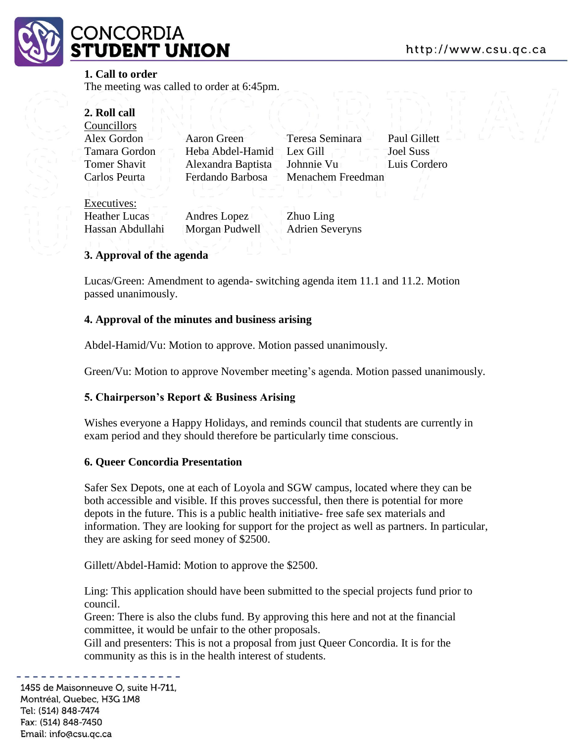# :ONCORDIA **JDENT UNION**

#### **1. Call to order**

The meeting was called to order at 6:45pm.

| 2. Roll call         |                    |                        |                  |
|----------------------|--------------------|------------------------|------------------|
| Councillors          |                    |                        |                  |
| Alex Gordon          | Aaron Green        | Teresa Seminara        | Paul Gillett     |
| Tamara Gordon        | Heba Abdel-Hamid   | Lex Gill               | <b>Joel Suss</b> |
| <b>Tomer Shavit</b>  | Alexandra Baptista | Johnnie Vu             | Luis Cordero     |
| Carlos Peurta        | Ferdando Barbosa   | Menachem Freedman      |                  |
|                      |                    |                        |                  |
| Executives:          |                    |                        |                  |
| <b>Heather Lucas</b> | Andres Lopez       | Zhuo Ling              |                  |
| Hassan Abdullahi     | Morgan Pudwell     | <b>Adrien Severyns</b> |                  |

#### **3. Approval of the agenda**

Lucas/Green: Amendment to agenda- switching agenda item 11.1 and 11.2. Motion passed unanimously.

#### **4. Approval of the minutes and business arising**

Abdel-Hamid/Vu: Motion to approve. Motion passed unanimously.

Green/Vu: Motion to approve November meeting's agenda. Motion passed unanimously.

#### **5. Chairperson's Report & Business Arising**

Wishes everyone a Happy Holidays, and reminds council that students are currently in exam period and they should therefore be particularly time conscious.

#### **6. Queer Concordia Presentation**

Safer Sex Depots, one at each of Loyola and SGW campus, located where they can be both accessible and visible. If this proves successful, then there is potential for more depots in the future. This is a public health initiative- free safe sex materials and information. They are looking for support for the project as well as partners. In particular, they are asking for seed money of \$2500.

Gillett/Abdel-Hamid: Motion to approve the \$2500.

Ling: This application should have been submitted to the special projects fund prior to council.

Green: There is also the clubs fund. By approving this here and not at the financial committee, it would be unfair to the other proposals.

Gill and presenters: This is not a proposal from just Queer Concordia. It is for the community as this is in the health interest of students.

1455 de Maisonneuve O, suite H-711, Montréal, Quebec, H3G 1M8 Tel: (514) 848-7474

Fax: (514) 848-7450 Email: info@csu.gc.ca http://www.csu.gc.ca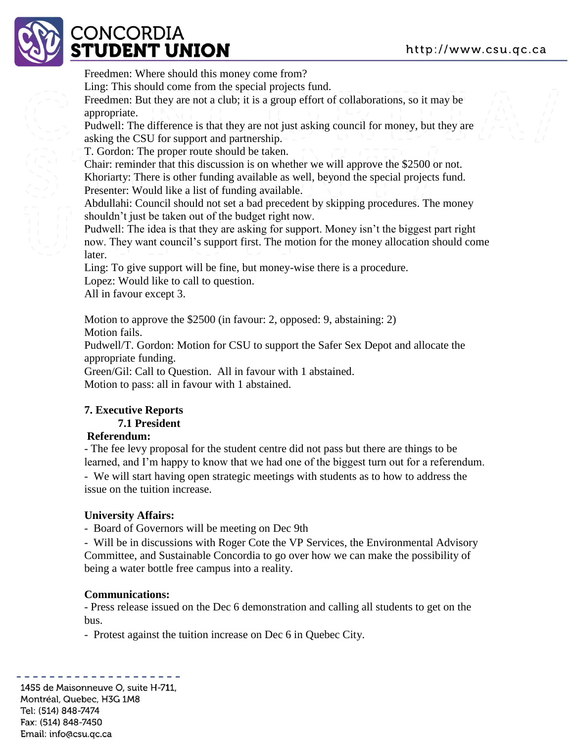

# CONCORDIA **:TUDENT UNION**

Freedmen: Where should this money come from?

Ling: This should come from the special projects fund.

Freedmen: But they are not a club; it is a group effort of collaborations, so it may be appropriate.

Pudwell: The difference is that they are not just asking council for money, but they are asking the CSU for support and partnership.

T. Gordon: The proper route should be taken.

Chair: reminder that this discussion is on whether we will approve the \$2500 or not. Khoriarty: There is other funding available as well, beyond the special projects fund. Presenter: Would like a list of funding available.

Abdullahi: Council should not set a bad precedent by skipping procedures. The money shouldn't just be taken out of the budget right now.

Pudwell: The idea is that they are asking for support. Money isn't the biggest part right now. They want council's support first. The motion for the money allocation should come later.

Ling: To give support will be fine, but money-wise there is a procedure.

Lopez: Would like to call to question.

All in favour except 3.

Motion to approve the \$2500 (in favour: 2, opposed: 9, abstaining: 2) Motion fails.

Pudwell/T. Gordon: Motion for CSU to support the Safer Sex Depot and allocate the appropriate funding.

Green/Gil: Call to Question. All in favour with 1 abstained. Motion to pass: all in favour with 1 abstained.

## **7. Executive Reports**

## **7.1 President**

#### **Referendum:**

- The fee levy proposal for the student centre did not pass but there are things to be learned, and I'm happy to know that we had one of the biggest turn out for a referendum. - We will start having open strategic meetings with students as to how to address the issue on the tuition increase.

## **University Affairs:**

- Board of Governors will be meeting on Dec 9th

- Will be in discussions with Roger Cote the VP Services, the Environmental Advisory Committee, and Sustainable Concordia to go over how we can make the possibility of being a water bottle free campus into a reality.

## **Communications:**

- Press release issued on the Dec 6 demonstration and calling all students to get on the bus.

- Protest against the tuition increase on Dec 6 in Quebec City.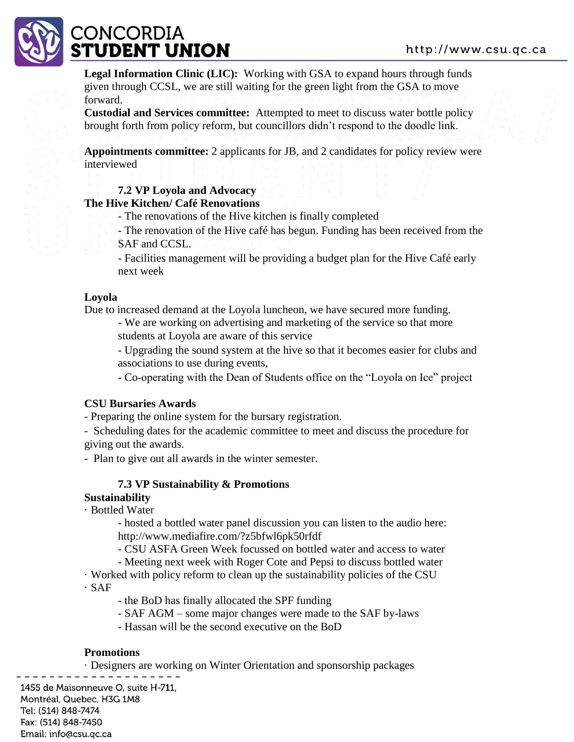

**Legal Information Clinic (LIC):** Working with GSA to expand hours through funds given through CCSL, we are still waiting for the green light from the GSA to move forward.

**Custodial and Services committee:** Attempted to meet to discuss water bottle policy brought forth from policy reform, but councillors didn't respond to the doodle link.

**Appointments committee:** 2 applicants for JB, and 2 candidates for policy review were interviewed

#### **7.2 VP Loyola and Advocacy**

#### **The Hive Kitchen/ Café Renovations**

- The renovations of the Hive kitchen is finally completed

- The renovation of the Hive café has begun. Funding has been received from the SAF and CCSL.

- Facilities management will be providing a budget plan for the Hive Café early next week

#### **Loyola**

Due to increased demand at the Loyola luncheon, we have secured more funding.

- We are working on advertising and marketing of the service so that more students at Loyola are aware of this service

- Upgrading the sound system at the hive so that it becomes easier for clubs and associations to use during events,

- Co-operating with the Dean of Students office on the "Loyola on Ice" project

#### **CSU Bursaries Awards**

- Preparing the online system for the bursary registration.

- Scheduling dates for the academic committee to meet and discuss the procedure for giving out the awards.

- Plan to give out all awards in the winter semester.

#### **7.3 VP Sustainability & Promotions**

#### **Sustainability**

· Bottled Water

- hosted a bottled water panel discussion you can listen to the audio here: http://www.mediafire.com/?z5bfwl6pk50rfdf

- CSU ASFA Green Week focussed on bottled water and access to water
- Meeting next week with Roger Cote and Pepsi to discuss bottled water

· Worked with policy reform to clean up the sustainability policies of the CSU

· SAF

- the BoD has finally allocated the SPF funding
- SAF AGM some major changes were made to the SAF by-laws
- Hassan will be the second executive on the BoD

#### **Promotions**

· Designers are working on Winter Orientation and sponsorship packages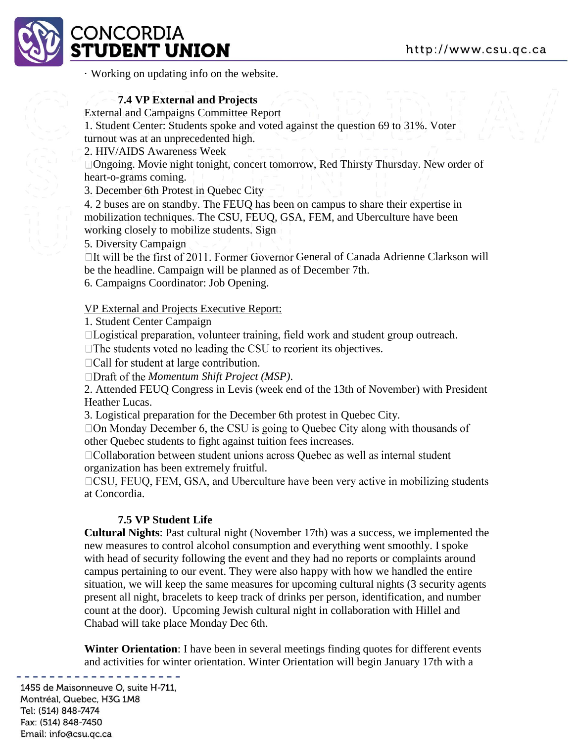

# :ONCORDIA **TUDENT UNION**

· Working on updating info on the website.

## **7.4 VP External and Projects**

#### External and Campaigns Committee Report

1. Student Center: Students spoke and voted against the question 69 to 31%. Voter turnout was at an unprecedented high.

2. HIV/AIDS Awareness Week

Ongoing. Movie night tonight, concert tomorrow, Red Thirsty Thursday. New order of heart-o-grams coming.

3. December 6th Protest in Quebec City

4. 2 buses are on standby. The FEUQ has been on campus to share their expertise in mobilization techniques. The CSU, FEUQ, GSA, FEM, and Uberculture have been working closely to mobilize students. Sign

5. Diversity Campaign

 $\Box$ It will be the first of 2011. Former Governor General of Canada Adrienne Clarkson will be the headline. Campaign will be planned as of December 7th.

6. Campaigns Coordinator: Job Opening.

#### VP External and Projects Executive Report:

1. Student Center Campaign

□Logistical preparation, volunteer training, field work and student group outreach.

 $\Box$  The students voted no leading the CSU to reorient its objectives.

 $\Box$ Call for student at large contribution.

*Momentum Shift Project (MSP)*.

2. Attended FEUQ Congress in Levis (week end of the 13th of November) with President Heather Lucas.

3. Logistical preparation for the December 6th protest in Quebec City.

 $\Box$  On Monday December 6, the CSU is going to Quebec City along with thousands of other Quebec students to fight against tuition fees increases.

□ Collaboration between student unions across Quebec as well as internal student organization has been extremely fruitful.

□CSU, FEUQ, FEM, GSA, and Uberculture have been very active in mobilizing students at Concordia.

## **7.5 VP Student Life**

**Cultural Nights**: Past cultural night (November 17th) was a success, we implemented the new measures to control alcohol consumption and everything went smoothly. I spoke with head of security following the event and they had no reports or complaints around campus pertaining to our event. They were also happy with how we handled the entire situation, we will keep the same measures for upcoming cultural nights (3 security agents present all night, bracelets to keep track of drinks per person, identification, and number count at the door). Upcoming Jewish cultural night in collaboration with Hillel and Chabad will take place Monday Dec 6th.

**Winter Orientation**: I have been in several meetings finding quotes for different events and activities for winter orientation. Winter Orientation will begin January 17th with a

```
1455 de Maisonneuve O, suite H-711,
Montréal, Quebec, H3G 1M8
Tel: (514) 848-7474
Fax: (514) 848-7450
Email: info@csu.gc.ca
```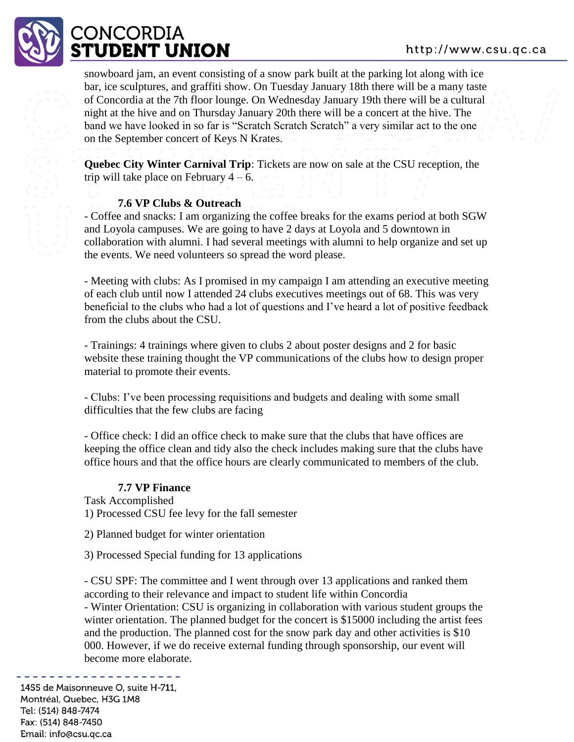# **ONCORDIA UDENT UNION**

snowboard jam, an event consisting of a snow park built at the parking lot along with ice bar, ice sculptures, and graffiti show. On Tuesday January 18th there will be a many taste of Concordia at the 7th floor lounge. On Wednesday January 19th there will be a cultural night at the hive and on Thursday January 20th there will be a concert at the hive. The band we have looked in so far is "Scratch Scratch Scratch" a very similar act to the one on the September concert of Keys N Krates.

**Quebec City Winter Carnival Trip**: Tickets are now on sale at the CSU reception, the trip will take place on February  $4 - 6$ .

#### **7.6 VP Clubs & Outreach**

- Coffee and snacks: I am organizing the coffee breaks for the exams period at both SGW and Loyola campuses. We are going to have 2 days at Loyola and 5 downtown in collaboration with alumni. I had several meetings with alumni to help organize and set up the events. We need volunteers so spread the word please.

- Meeting with clubs: As I promised in my campaign I am attending an executive meeting of each club until now I attended 24 clubs executives meetings out of 68. This was very beneficial to the clubs who had a lot of questions and I've heard a lot of positive feedback from the clubs about the CSU.

- Trainings: 4 trainings where given to clubs 2 about poster designs and 2 for basic website these training thought the VP communications of the clubs how to design proper material to promote their events.

- Clubs: I've been processing requisitions and budgets and dealing with some small difficulties that the few clubs are facing

- Office check: I did an office check to make sure that the clubs that have offices are keeping the office clean and tidy also the check includes making sure that the clubs have office hours and that the office hours are clearly communicated to members of the club.

#### **7.7 VP Finance**

Task Accomplished 1) Processed CSU fee levy for the fall semester

2) Planned budget for winter orientation

3) Processed Special funding for 13 applications

- CSU SPF: The committee and I went through over 13 applications and ranked them according to their relevance and impact to student life within Concordia - Winter Orientation: CSU is organizing in collaboration with various student groups the

winter orientation. The planned budget for the concert is \$15000 including the artist fees and the production. The planned cost for the snow park day and other activities is \$10 000. However, if we do receive external funding through sponsorship, our event will become more elaborate.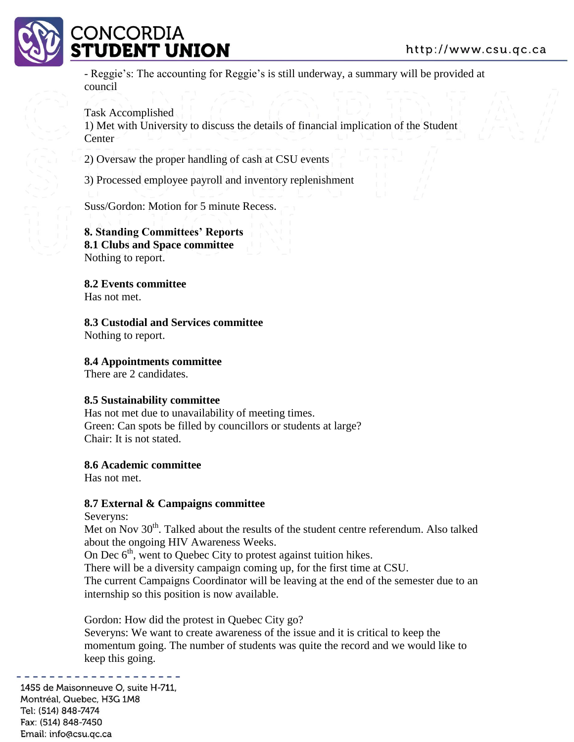#### http://www.csu.gc.ca



# **ONCORDIA UDENT UNION**

- Reggie's: The accounting for Reggie's is still underway, a summary will be provided at council

#### Task Accomplished

1) Met with University to discuss the details of financial implication of the Student **Center** 

2) Oversaw the proper handling of cash at CSU events

3) Processed employee payroll and inventory replenishment

Suss/Gordon: Motion for 5 minute Recess.

**8. Standing Committees' Reports 8.1 Clubs and Space committee**  Nothing to report.

**8.2 Events committee**  Has not met.

**8.3 Custodial and Services committee**  Nothing to report.

#### **8.4 Appointments committee**

There are 2 candidates.

#### **8.5 Sustainability committee**

Has not met due to unavailability of meeting times. Green: Can spots be filled by councillors or students at large? Chair: It is not stated.

#### **8.6 Academic committee**

Has not met.

#### **8.7 External & Campaigns committee**

Severyns:

Met on Nov 30<sup>th</sup>. Talked about the results of the student centre referendum. Also talked about the ongoing HIV Awareness Weeks.

On Dec  $6<sup>th</sup>$ , went to Quebec City to protest against tuition hikes.

There will be a diversity campaign coming up, for the first time at CSU.

The current Campaigns Coordinator will be leaving at the end of the semester due to an internship so this position is now available.

Gordon: How did the protest in Quebec City go? Severyns: We want to create awareness of the issue and it is critical to keep the momentum going. The number of students was quite the record and we would like to keep this going.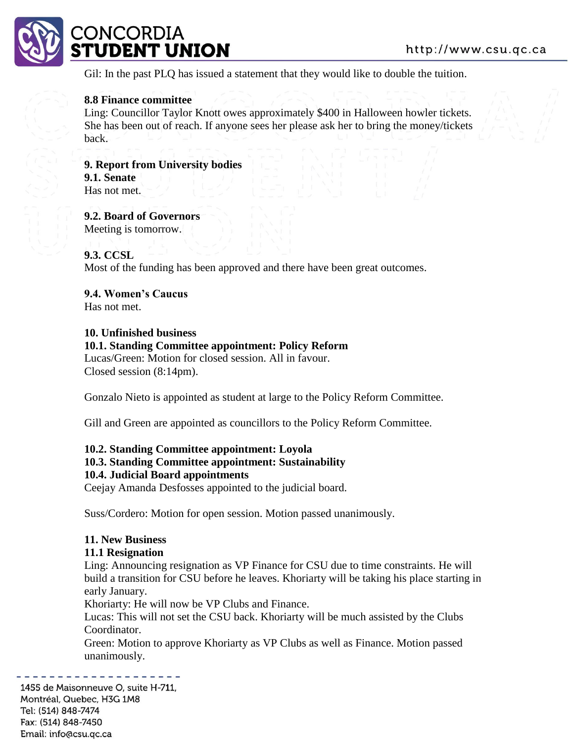

Gil: In the past PLQ has issued a statement that they would like to double the tuition.

#### **8.8 Finance committee**

Ling: Councillor Taylor Knott owes approximately \$400 in Halloween howler tickets. She has been out of reach. If anyone sees her please ask her to bring the money/tickets back.

**9. Report from University bodies 9.1. Senate**  Has not met.

**9.2. Board of Governors**  Meeting is tomorrow.

#### **9.3. CCSL**

Most of the funding has been approved and there have been great outcomes.

**9.4. Women's Caucus**  Has not met.

#### **10. Unfinished business**

#### **10.1. Standing Committee appointment: Policy Reform**

Lucas/Green: Motion for closed session. All in favour. Closed session (8:14pm).

Gonzalo Nieto is appointed as student at large to the Policy Reform Committee.

Gill and Green are appointed as councillors to the Policy Reform Committee.

#### **10.2. Standing Committee appointment: Loyola 10.3. Standing Committee appointment: Sustainability**

## **10.4. Judicial Board appointments**

Ceejay Amanda Desfosses appointed to the judicial board.

Suss/Cordero: Motion for open session. Motion passed unanimously.

#### **11. New Business**

#### **11.1 Resignation**

Ling: Announcing resignation as VP Finance for CSU due to time constraints. He will build a transition for CSU before he leaves. Khoriarty will be taking his place starting in early January.

Khoriarty: He will now be VP Clubs and Finance.

Lucas: This will not set the CSU back. Khoriarty will be much assisted by the Clubs Coordinator.

Green: Motion to approve Khoriarty as VP Clubs as well as Finance. Motion passed unanimously.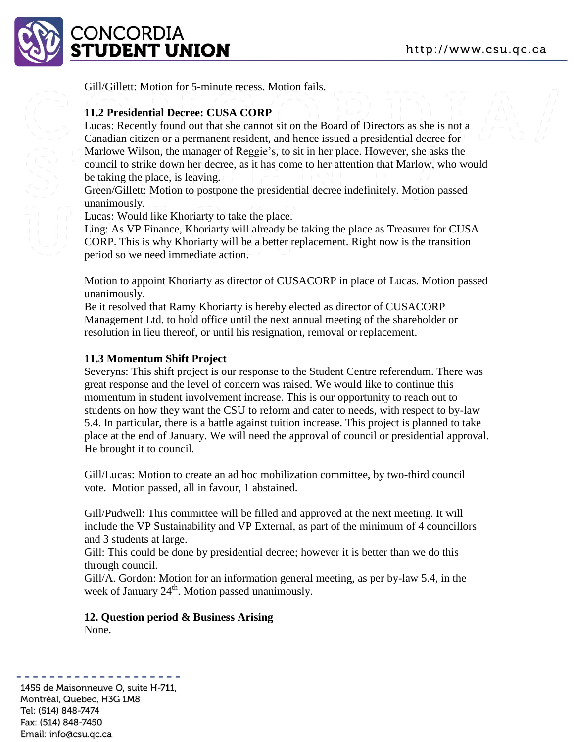

Gill/Gillett: Motion for 5-minute recess. Motion fails.

#### **11.2 Presidential Decree: CUSA CORP**

Lucas: Recently found out that she cannot sit on the Board of Directors as she is not a Canadian citizen or a permanent resident, and hence issued a presidential decree for Marlowe Wilson, the manager of Reggie's, to sit in her place. However, she asks the council to strike down her decree, as it has come to her attention that Marlow, who would be taking the place, is leaving.

Green/Gillett: Motion to postpone the presidential decree indefinitely. Motion passed unanimously.

Lucas: Would like Khoriarty to take the place.

Ling: As VP Finance, Khoriarty will already be taking the place as Treasurer for CUSA CORP. This is why Khoriarty will be a better replacement. Right now is the transition period so we need immediate action.

Motion to appoint Khoriarty as director of CUSACORP in place of Lucas. Motion passed unanimously.

Be it resolved that Ramy Khoriarty is hereby elected as director of CUSACORP Management Ltd. to hold office until the next annual meeting of the shareholder or resolution in lieu thereof, or until his resignation, removal or replacement.

#### **11.3 Momentum Shift Project**

Severyns: This shift project is our response to the Student Centre referendum. There was great response and the level of concern was raised. We would like to continue this momentum in student involvement increase. This is our opportunity to reach out to students on how they want the CSU to reform and cater to needs, with respect to by-law 5.4. In particular, there is a battle against tuition increase. This project is planned to take place at the end of January. We will need the approval of council or presidential approval. He brought it to council.

Gill/Lucas: Motion to create an ad hoc mobilization committee, by two-third council vote. Motion passed, all in favour, 1 abstained.

Gill/Pudwell: This committee will be filled and approved at the next meeting. It will include the VP Sustainability and VP External, as part of the minimum of 4 councillors and 3 students at large.

Gill: This could be done by presidential decree; however it is better than we do this through council.

Gill/A. Gordon: Motion for an information general meeting, as per by-law 5.4, in the week of January 24<sup>th</sup>. Motion passed unanimously.

#### **12. Question period & Business Arising**  None.